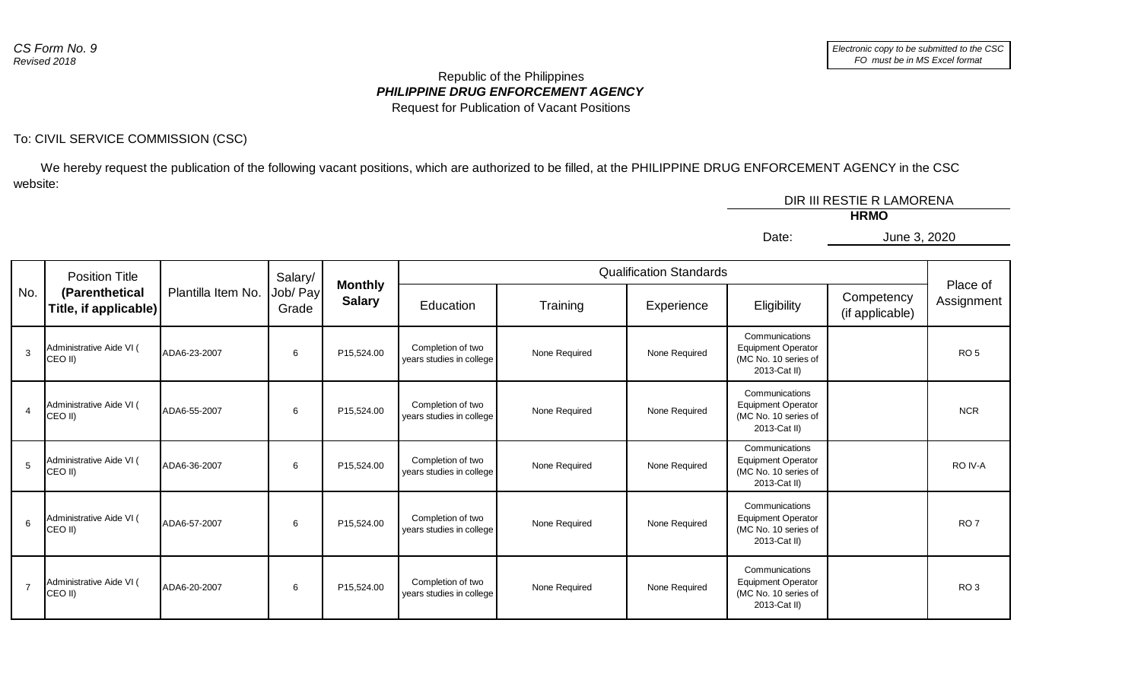## *PHILIPPINE DRUG ENFORCEMENT AGENCY* Republic of the Philippines Request for Publication of Vacant Positions

## To: CIVIL SERVICE COMMISSION (CSC)

 We hereby request the publication of the following vacant positions, which are authorized to be filled, at the PHILIPPINE DRUG ENFORCEMENT AGENCY in the CSC website:

| DIR III RESTIE R LAMORENA |              |  |
|---------------------------|--------------|--|
| <b>HRMO</b>               |              |  |
| Date:                     | June 3, 2020 |  |
|                           |              |  |

| No.            | <b>Position Title</b><br>(Parenthetical<br>Title, if applicable) | Plantilla Item No. | Salary/<br>Job/ Pay<br>Grade | <b>Monthly</b><br><b>Salary</b> | <b>Qualification Standards</b>                |               |               |                                                                                     |                               |                        |
|----------------|------------------------------------------------------------------|--------------------|------------------------------|---------------------------------|-----------------------------------------------|---------------|---------------|-------------------------------------------------------------------------------------|-------------------------------|------------------------|
|                |                                                                  |                    |                              |                                 | Education                                     | Training      | Experience    | Eligibility                                                                         | Competency<br>(if applicable) | Place of<br>Assignment |
| 3              | Administrative Aide VI (<br>CEO II)                              | ADA6-23-2007       | 6                            | P15,524.00                      | Completion of two<br>years studies in college | None Required | None Required | Communications<br><b>Equipment Operator</b><br>(MC No. 10 series of<br>2013-Cat II) |                               | RO <sub>5</sub>        |
| $\overline{4}$ | Administrative Aide VI (<br>CEO II)                              | ADA6-55-2007       | 6                            | P15,524.00                      | Completion of two<br>years studies in college | None Required | None Required | Communications<br><b>Equipment Operator</b><br>(MC No. 10 series of<br>2013-Cat II) |                               | <b>NCR</b>             |
| 5              | Administrative Aide VI (<br>CEO II)                              | ADA6-36-2007       | 6                            | P15,524.00                      | Completion of two<br>years studies in college | None Required | None Required | Communications<br><b>Equipment Operator</b><br>(MC No. 10 series of<br>2013-Cat II) |                               | RO IV-A                |
| 6              | Administrative Aide VI (<br>CEO II)                              | ADA6-57-2007       | 6                            | P15,524.00                      | Completion of two<br>years studies in college | None Required | None Required | Communications<br><b>Equipment Operator</b><br>(MC No. 10 series of<br>2013-Cat II) |                               | RO <sub>7</sub>        |
| $\overline{7}$ | Administrative Aide VI (<br>CEO II)                              | ADA6-20-2007       | 6                            | P15,524.00                      | Completion of two<br>years studies in college | None Required | None Required | Communications<br><b>Equipment Operator</b><br>(MC No. 10 series of<br>2013-Cat II) |                               | RO <sub>3</sub>        |